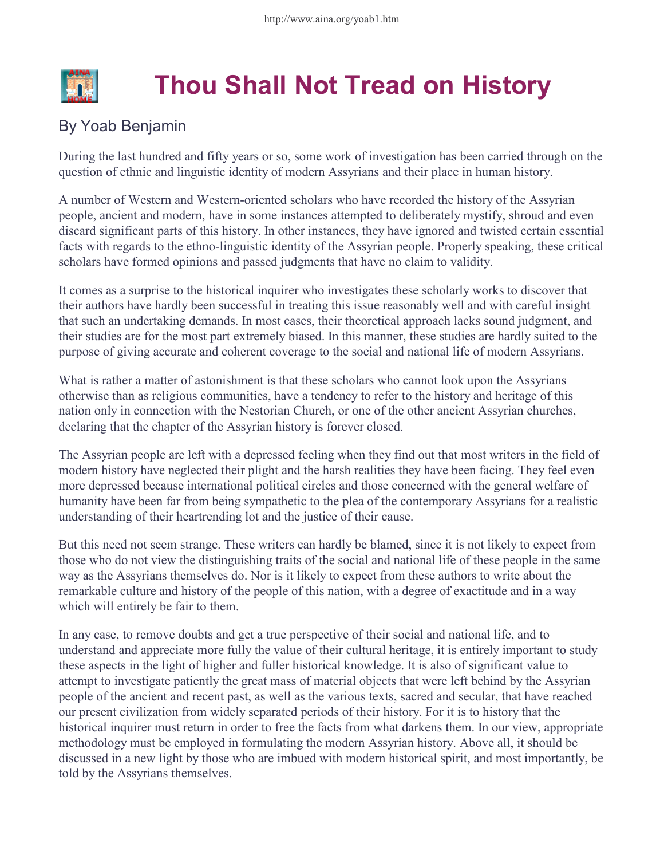

## Thou Shall Not Tread on History

## By Yoab Benjamin

During the last hundred and fifty years or so, some work of investigation has been carried through on the question of ethnic and linguistic identity of modern Assyrians and their place in human history.

A number of Western and Western-oriented scholars who have recorded the history of the Assyrian people, ancient and modern, have in some instances attempted to deliberately mystify, shroud and even discard significant parts of this history. In other instances, they have ignored and twisted certain essential facts with regards to the ethno-linguistic identity of the Assyrian people. Properly speaking, these critical scholars have formed opinions and passed judgments that have no claim to validity.

It comes as a surprise to the historical inquirer who investigates these scholarly works to discover that their authors have hardly been successful in treating this issue reasonably well and with careful insight that such an undertaking demands. In most cases, their theoretical approach lacks sound judgment, and their studies are for the most part extremely biased. In this manner, these studies are hardly suited to the purpose of giving accurate and coherent coverage to the social and national life of modern Assyrians.

What is rather a matter of astonishment is that these scholars who cannot look upon the Assyrians otherwise than as religious communities, have a tendency to refer to the history and heritage of this nation only in connection with the Nestorian Church, or one of the other ancient Assyrian churches, declaring that the chapter of the Assyrian history is forever closed.

The Assyrian people are left with a depressed feeling when they find out that most writers in the field of modern history have neglected their plight and the harsh realities they have been facing. They feel even more depressed because international political circles and those concerned with the general welfare of humanity have been far from being sympathetic to the plea of the contemporary Assyrians for a realistic understanding of their heartrending lot and the justice of their cause.

But this need not seem strange. These writers can hardly be blamed, since it is not likely to expect from those who do not view the distinguishing traits of the social and national life of these people in the same way as the Assyrians themselves do. Nor is it likely to expect from these authors to write about the remarkable culture and history of the people of this nation, with a degree of exactitude and in a way which will entirely be fair to them.

In any case, to remove doubts and get a true perspective of their social and national life, and to understand and appreciate more fully the value of their cultural heritage, it is entirely important to study these aspects in the light of higher and fuller historical knowledge. It is also of significant value to attempt to investigate patiently the great mass of material objects that were left behind by the Assyrian people of the ancient and recent past, as well as the various texts, sacred and secular, that have reached our present civilization from widely separated periods of their history. For it is to history that the historical inquirer must return in order to free the facts from what darkens them. In our view, appropriate methodology must be employed in formulating the modern Assyrian history. Above all, it should be discussed in a new light by those who are imbued with modern historical spirit, and most importantly, be told by the Assyrians themselves.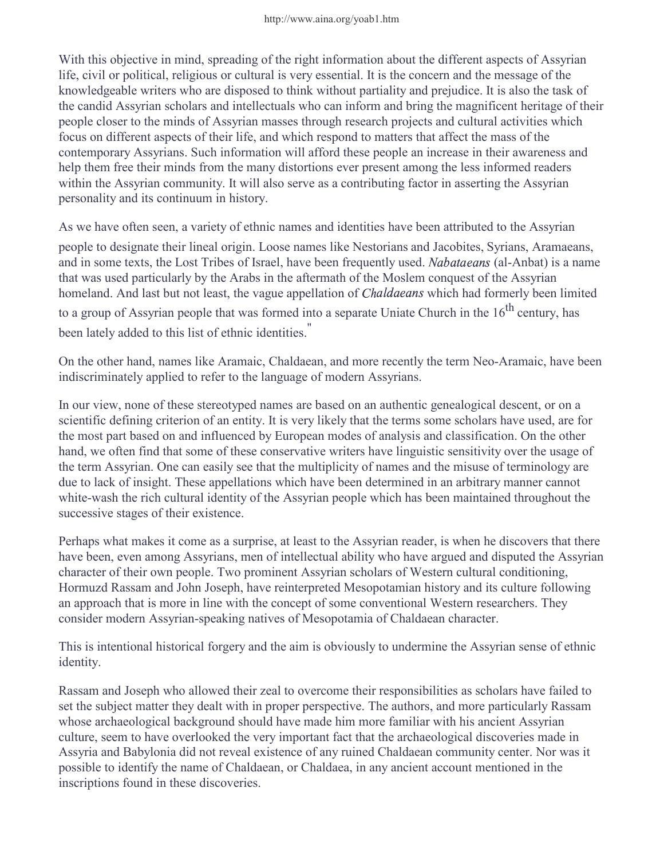With this objective in mind, spreading of the right information about the different aspects of Assyrian life, civil or political, religious or cultural is very essential. It is the concern and the message of the knowledgeable writers who are disposed to think without partiality and prejudice. It is also the task of the candid Assyrian scholars and intellectuals who can inform and bring the magnificent heritage of their people closer to the minds of Assyrian masses through research projects and cultural activities which focus on different aspects of their life, and which respond to matters that affect the mass of the contemporary Assyrians. Such information will afford these people an increase in their awareness and help them free their minds from the many distortions ever present among the less informed readers within the Assyrian community. It will also serve as a contributing factor in asserting the Assyrian personality and its continuum in history.

As we have often seen, a variety of ethnic names and identities have been attributed to the Assyrian

people to designate their lineal origin. Loose names like Nestorians and Jacobites, Syrians, Aramaeans, and in some texts, the Lost Tribes of Israel, have been frequently used. Nabataeans (al-Anbat) is a name that was used particularly by the Arabs in the aftermath of the Moslem conquest of the Assyrian homeland. And last but not least, the vague appellation of *Chaldaeans* which had formerly been limited

to a group of Assyrian people that was formed into a separate Uniate Church in the  $16<sup>th</sup>$  century, has been lately added to this list of ethnic identities.

On the other hand, names like Aramaic, Chaldaean, and more recently the term Neo-Aramaic, have been indiscriminately applied to refer to the language of modern Assyrians.

In our view, none of these stereotyped names are based on an authentic genealogical descent, or on a scientific defining criterion of an entity. It is very likely that the terms some scholars have used, are for the most part based on and influenced by European modes of analysis and classification. On the other hand, we often find that some of these conservative writers have linguistic sensitivity over the usage of the term Assyrian. One can easily see that the multiplicity of names and the misuse of terminology are due to lack of insight. These appellations which have been determined in an arbitrary manner cannot white-wash the rich cultural identity of the Assyrian people which has been maintained throughout the successive stages of their existence.

Perhaps what makes it come as a surprise, at least to the Assyrian reader, is when he discovers that there have been, even among Assyrians, men of intellectual ability who have argued and disputed the Assyrian character of their own people. Two prominent Assyrian scholars of Western cultural conditioning, Hormuzd Rassam and John Joseph, have reinterpreted Mesopotamian history and its culture following an approach that is more in line with the concept of some conventional Western researchers. They consider modern Assyrian-speaking natives of Mesopotamia of Chaldaean character.

This is intentional historical forgery and the aim is obviously to undermine the Assyrian sense of ethnic identity.

Rassam and Joseph who allowed their zeal to overcome their responsibilities as scholars have failed to set the subject matter they dealt with in proper perspective. The authors, and more particularly Rassam whose archaeological background should have made him more familiar with his ancient Assyrian culture, seem to have overlooked the very important fact that the archaeological discoveries made in Assyria and Babylonia did not reveal existence of any ruined Chaldaean community center. Nor was it possible to identify the name of Chaldaean, or Chaldaea, in any ancient account mentioned in the inscriptions found in these discoveries.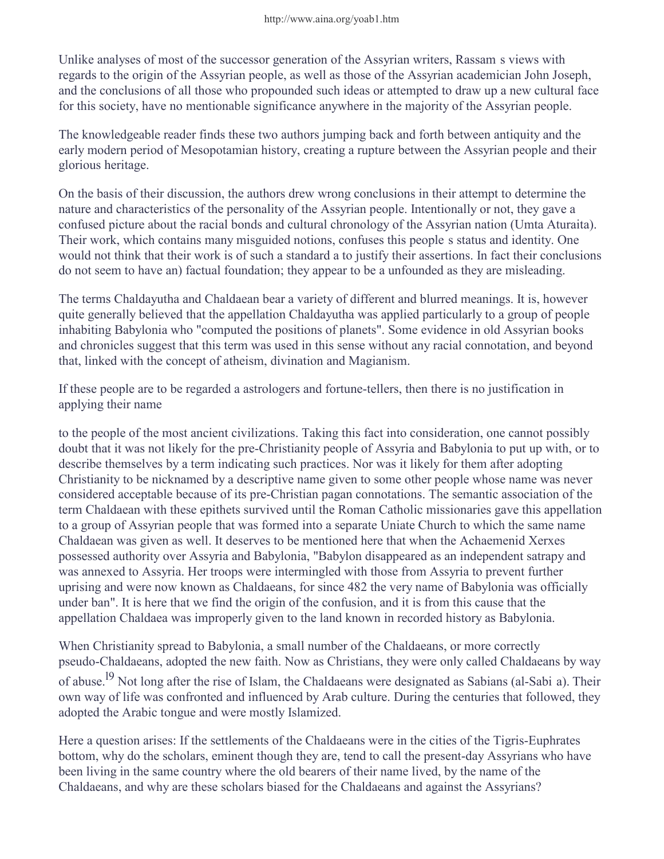Unlike analyses of most of the successor generation of the Assyrian writers, Rassamís views with regards to the origin of the Assyrian people, as well as those of the Assyrian academician John Joseph, and the conclusions of all those who propounded such ideas or attempted to draw up a new cultural face for this society, have no mentionable significance anywhere in the majority of the Assyrian people.

The knowledgeable reader finds these two authors jumping back and forth between antiquity and the early modern period of Mesopotamian history, creating a rupture between the Assyrian people and their glorious heritage.

On the basis of their discussion, the authors drew wrong conclusions in their attempt to determine the nature and characteristics of the personality of the Assyrian people. Intentionally or not, they gave a confused picture about the racial bonds and cultural chronology of the Assyrian nation (Umta Aturaita). Their work, which contains many misguided notions, confuses this peopleís status and identity. One would not think that their work is of such a standard a to justify their assertions. In fact their conclusions do not seem to have an) factual foundation; they appear to be a unfounded as they are misleading.

The terms Chaldayutha and Chaldaean bear a variety of different and blurred meanings. It is, however quite generally believed that the appellation Chaldayutha was applied particularly to a group of people inhabiting Babylonia who "computed the positions of planets". Some evidence in old Assyrian books and chronicles suggest that this term was used in this sense without any racial connotation, and beyond that, linked with the concept of atheism, divination and Magianism.

If these people are to be regarded a astrologers and fortune-tellers, then there is no justification in applying their name

to the people of the most ancient civilizations. Taking this fact into consideration, one cannot possibly doubt that it was not likely for the pre-Christianity people of Assyria and Babylonia to put up with, or to describe themselves by a term indicating such practices. Nor was it likely for them after adopting Christianity to be nicknamed by a descriptive name given to some other people whose name was never considered acceptable because of its pre-Christian pagan connotations. The semantic association of the term Chaldaean with these epithets survived until the Roman Catholic missionaries gave this appellation to a group of Assyrian people that was formed into a separate Uniate Church to which the same name Chaldaean was given as well. It deserves to be mentioned here that when the Achaemenid Xerxes possessed authority over Assyria and Babylonia, "Babylon disappeared as an independent satrapy and was annexed to Assyria. Her troops were intermingled with those from Assyria to prevent further uprising and were now known as Chaldaeans, for since 482 the very name of Babylonia was officially under ban". It is here that we find the origin of the confusion, and it is from this cause that the appellation Chaldaea was improperly given to the land known in recorded history as Babylonia.

When Christianity spread to Babylonia, a small number of the Chaldaeans, or more correctly pseudo-Chaldaeans, adopted the new faith. Now as Christians, they were only called Chaldaeans by way of abuse.<sup>19</sup> Not long after the rise of Islam, the Chaldaeans were designated as Sabians (al-Sabiía). Their own way of life was confronted and influenced by Arab culture. During the centuries that followed, they adopted the Arabic tongue and were mostly Islamized.

Here a question arises: If the settlements of the Chaldaeans were in the cities of the Tigris-Euphrates bottom, why do the scholars, eminent though they are, tend to call the present-day Assyrians who have been living in the same country where the old bearers of their name lived, by the name of the Chaldaeans, and why are these scholars biased for the Chaldaeans and against the Assyrians?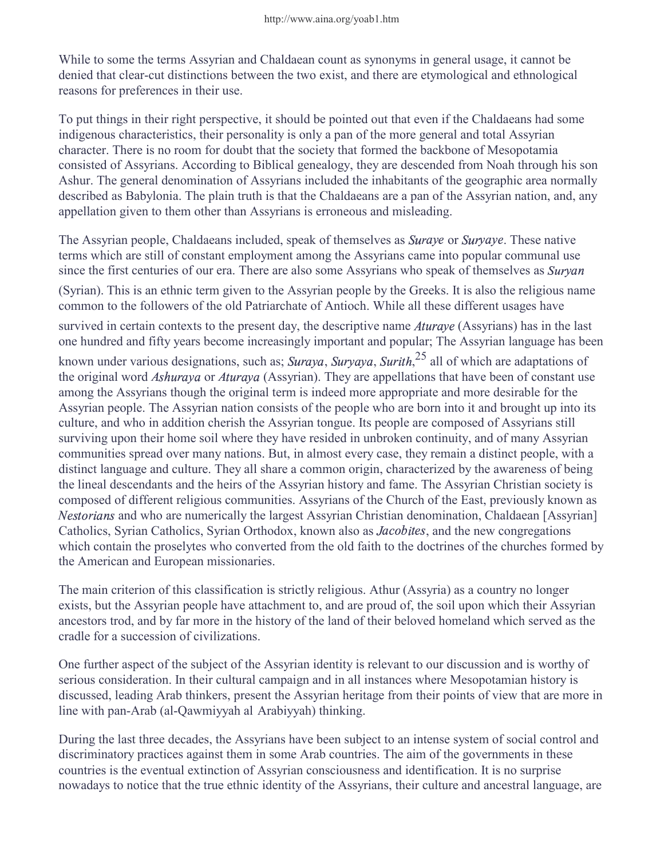While to some the terms Assyrian and Chaldaean count as synonyms in general usage, it cannot be denied that clear-cut distinctions between the two exist, and there are etymological and ethnological reasons for preferences in their use.

To put things in their right perspective, it should be pointed out that even if the Chaldaeans had some indigenous characteristics, their personality is only a pan of the more general and total Assyrian character. There is no room for doubt that the society that formed the backbone of Mesopotamia consisted of Assyrians. According to Biblical genealogy, they are descended from Noah through his son Ashur. The general denomination of Assyrians included the inhabitants of the geographic area normally described as Babylonia. The plain truth is that the Chaldaeans are a pan of the Assyrian nation, and, any appellation given to them other than Assyrians is erroneous and misleading.

The Assyrian people, Chaldaeans included, speak of themselves as Suraye or S aye or Suryaye. These native terms which are still of constant employment among the Assyrians came into popular communal use since the first centuries of our era. There are also some Assyrians who speak of themselves as Surya (Syrian). This is an ethnic term given to the Assyrian people by the Greeks. It is also the religious name common to the followers of the old Patriarchate of Antioch. While all these different usages have

survived in certain contexts to the present day, the descriptive name  $Aturaye$  (Ass aye (Assyrians) has in the last one hundred and fifty years become increasingly important and popular; The Assyrian language has been known under various designations, such as; Suraya, Sur aya, Suryaya, Surith,  $2^5$  all of which are adaptations of the original word Ashuraya or A aya or Aturaya (Ass aya (Assyrian). They are appellations that have been of constant use among the Assyrians though the original term is indeed more appropriate and more desirable for the Assyrian people. The Assyrian nation consists of the people who are born into it and brought up into its culture, and who in addition cherish the Assyrian tongue. Its people are composed of Assyrians still surviving upon their home soil where they have resided in unbroken continuity, and of many Assyrian communities spread over many nations. But, in almost every case, they remain a distinct people, with a distinct language and culture. They all share a common origin, characterized by the awareness of being the lineal descendants and the heirs of the Assyrian history and fame. The Assyrian Christian society is composed of different religious communities. Assyrians of the Church of the East, previously known as -------ans and who are numerically the largest Assyrian Christian denomination, Chaldaean [Assyrian] Catholics, Syrian Catholics, Syrian Orthodox, known also as *Jacobites*, and the new congregations which contain the proselytes who converted from the old faith to the doctrines of the churches formed by the American and European missionaries.

The main criterion of this classification is strictly religious. Athur (Assyria) as a country no longer exists, but the Assyrian people have attachment to, and are proud of, the soil upon which their Assyrian ancestors trod, and by far more in the history of the land of their beloved homeland which served as the cradle for a succession of civilizations.

One further aspect of the subject of the Assyrian identity is relevant to our discussion and is worthy of serious consideration. In their cultural campaign and in all instances where Mesopotamian history is discussed, leading Arab thinkers, present the Assyrian heritage from their points of view that are more in line with pan-Arab (al-Qawmiyyah alíArabiyyah) thinking.

During the last three decades, the Assyrians have been subject to an intense system of social control and discriminatory practices against them in some Arab countries. The aim of the governments in these countries is the eventual extinction of Assyrian consciousness and identification. It is no surprise nowadays to notice that the true ethnic identity of the Assyrians, their culture and ancestral language, are